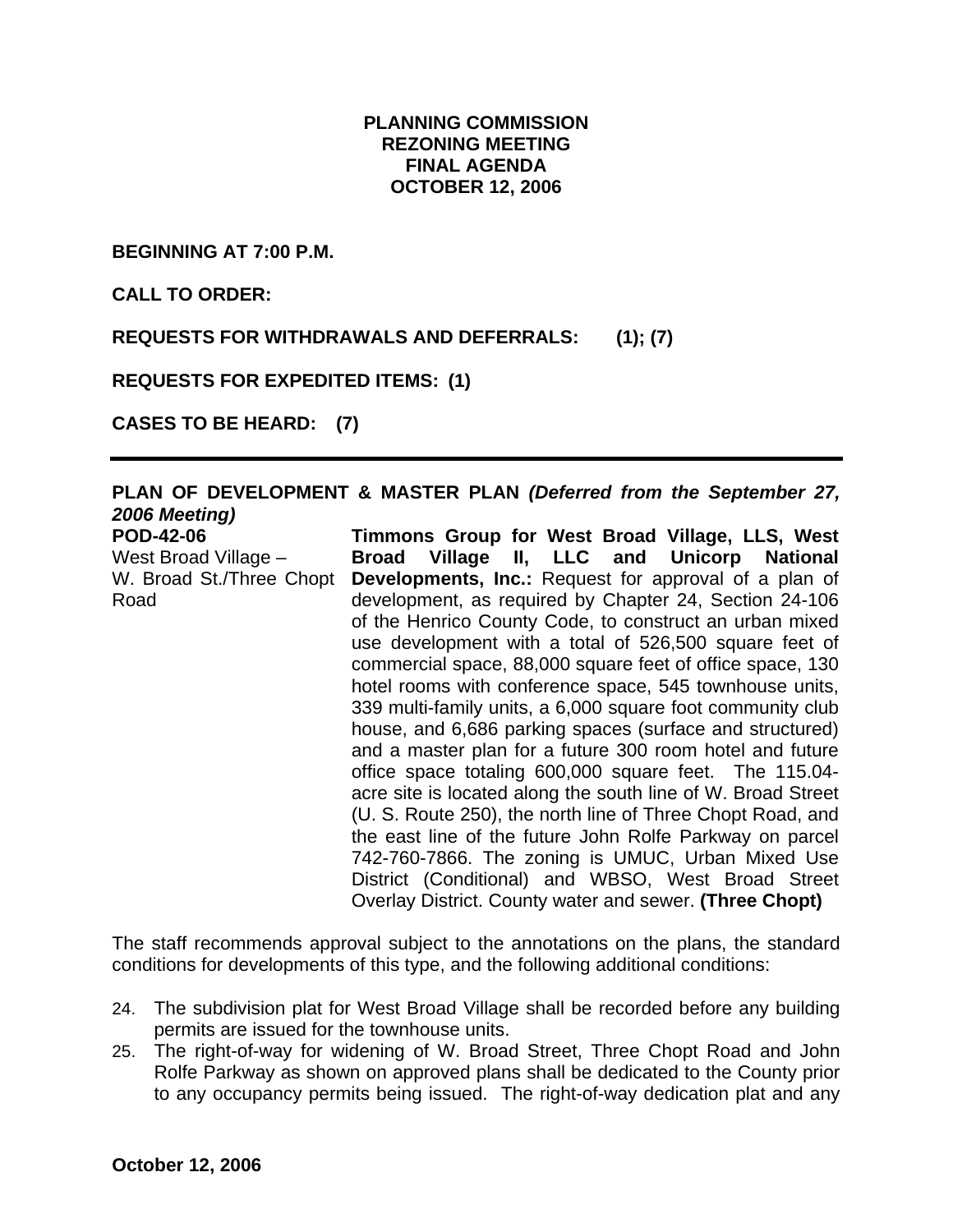# **PLANNING COMMISSION REZONING MEETING FINAL AGENDA OCTOBER 12, 2006**

**BEGINNING AT 7:00 P.M.** 

**CALL TO ORDER:** 

Road

**REQUESTS FOR WITHDRAWALS AND DEFERRALS: (1); (7)** 

**REQUESTS FOR EXPEDITED ITEMS: (1)** 

**CASES TO BE HEARD: (7)** 

#### **PLAN OF DEVELOPMENT & MASTER PLAN** *(Deferred from the September 27, 2006 Meeting)* **POD-42-06**  West Broad Village – W. Broad St./Three Chopt **Timmons Group for West Broad Village, LLS, West Broad Village II, LLC and Unicorp National Developments, Inc.:** Request for approval of a plan of

development, as required by Chapter 24, Section 24-106 of the Henrico County Code, to construct an urban mixed use development with a total of 526,500 square feet of commercial space, 88,000 square feet of office space, 130 hotel rooms with conference space, 545 townhouse units, 339 multi-family units, a 6,000 square foot community club house, and 6,686 parking spaces (surface and structured) and a master plan for a future 300 room hotel and future office space totaling 600,000 square feet. The 115.04 acre site is located along the south line of W. Broad Street (U. S. Route 250), the north line of Three Chopt Road, and the east line of the future John Rolfe Parkway on parcel 742-760-7866. The zoning is UMUC, Urban Mixed Use District (Conditional) and WBSO, West Broad Street Overlay District. County water and sewer. **(Three Chopt)** 

The staff recommends approval subject to the annotations on the plans, the standard conditions for developments of this type, and the following additional conditions:

- 24. The subdivision plat for West Broad Village shall be recorded before any building permits are issued for the townhouse units.
- 25. The right-of-way for widening of W. Broad Street, Three Chopt Road and John Rolfe Parkway as shown on approved plans shall be dedicated to the County prior to any occupancy permits being issued. The right-of-way dedication plat and any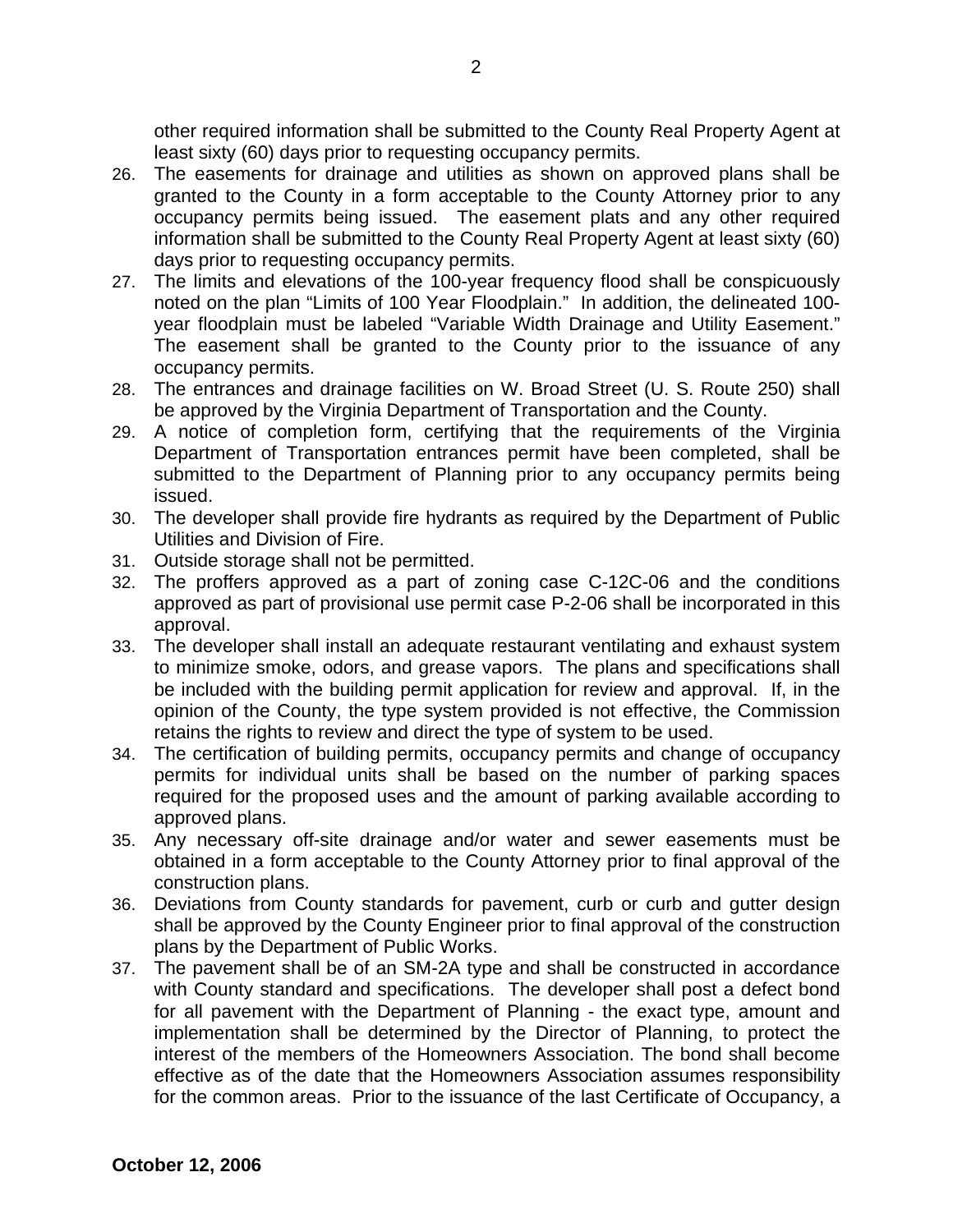other required information shall be submitted to the County Real Property Agent at least sixty (60) days prior to requesting occupancy permits.

- 26. The easements for drainage and utilities as shown on approved plans shall be granted to the County in a form acceptable to the County Attorney prior to any occupancy permits being issued. The easement plats and any other required information shall be submitted to the County Real Property Agent at least sixty (60) days prior to requesting occupancy permits.
- 27. The limits and elevations of the 100-year frequency flood shall be conspicuously noted on the plan "Limits of 100 Year Floodplain." In addition, the delineated 100 year floodplain must be labeled "Variable Width Drainage and Utility Easement." The easement shall be granted to the County prior to the issuance of any occupancy permits.
- 28. The entrances and drainage facilities on W. Broad Street (U. S. Route 250) shall be approved by the Virginia Department of Transportation and the County.
- 29. A notice of completion form, certifying that the requirements of the Virginia Department of Transportation entrances permit have been completed, shall be submitted to the Department of Planning prior to any occupancy permits being issued.
- 30. The developer shall provide fire hydrants as required by the Department of Public Utilities and Division of Fire.
- 31. Outside storage shall not be permitted.
- 32. The proffers approved as a part of zoning case C-12C-06 and the conditions approved as part of provisional use permit case P-2-06 shall be incorporated in this approval.
- 33. The developer shall install an adequate restaurant ventilating and exhaust system to minimize smoke, odors, and grease vapors. The plans and specifications shall be included with the building permit application for review and approval. If, in the opinion of the County, the type system provided is not effective, the Commission retains the rights to review and direct the type of system to be used.
- 34. The certification of building permits, occupancy permits and change of occupancy permits for individual units shall be based on the number of parking spaces required for the proposed uses and the amount of parking available according to approved plans.
- 35. Any necessary off-site drainage and/or water and sewer easements must be obtained in a form acceptable to the County Attorney prior to final approval of the construction plans.
- 36. Deviations from County standards for pavement, curb or curb and gutter design shall be approved by the County Engineer prior to final approval of the construction plans by the Department of Public Works.
- 37. The pavement shall be of an SM-2A type and shall be constructed in accordance with County standard and specifications. The developer shall post a defect bond for all pavement with the Department of Planning - the exact type, amount and implementation shall be determined by the Director of Planning, to protect the interest of the members of the Homeowners Association. The bond shall become effective as of the date that the Homeowners Association assumes responsibility for the common areas. Prior to the issuance of the last Certificate of Occupancy, a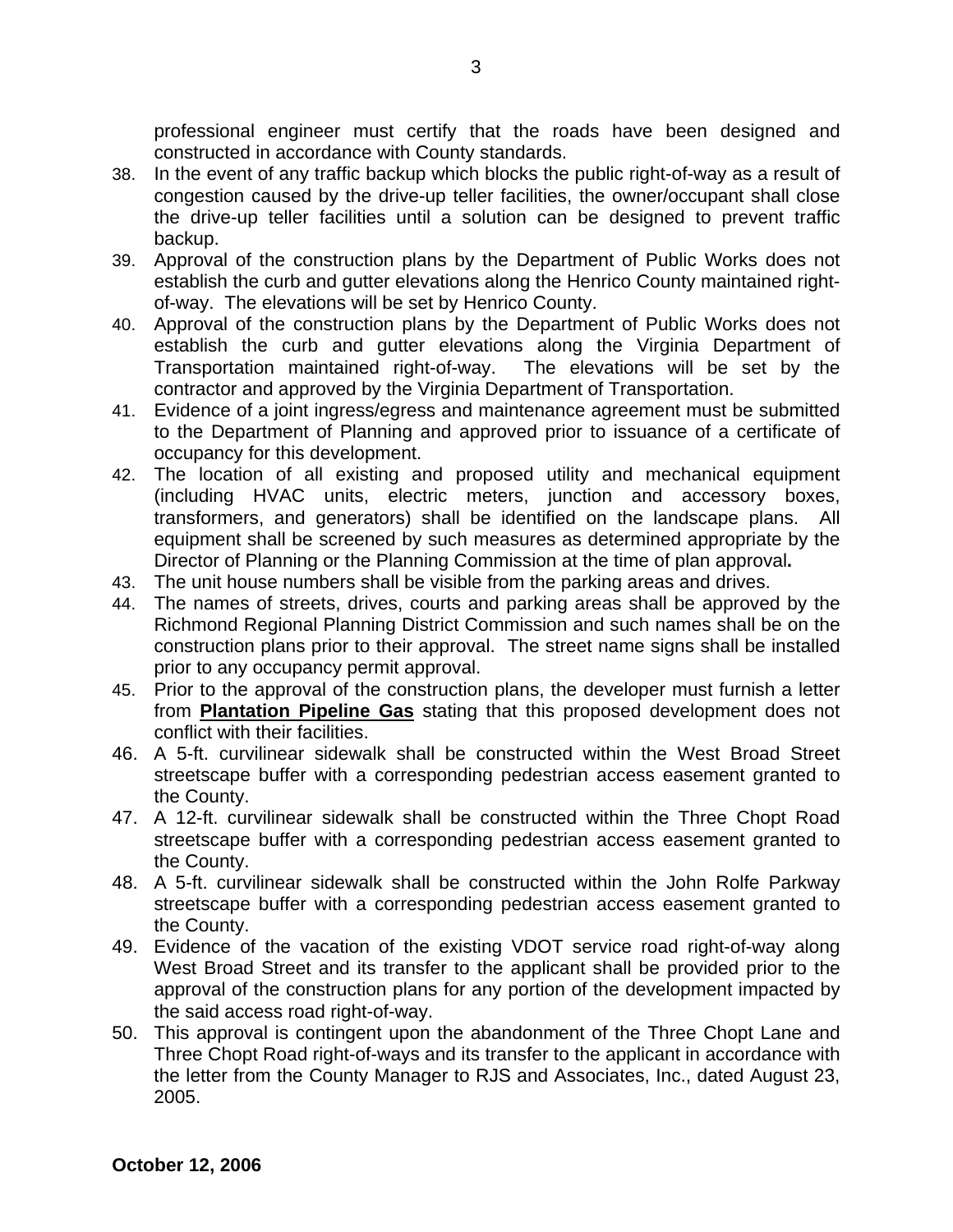professional engineer must certify that the roads have been designed and constructed in accordance with County standards.

- 38. In the event of any traffic backup which blocks the public right-of-way as a result of congestion caused by the drive-up teller facilities, the owner/occupant shall close the drive-up teller facilities until a solution can be designed to prevent traffic backup.
- 39. Approval of the construction plans by the Department of Public Works does not establish the curb and gutter elevations along the Henrico County maintained rightof-way. The elevations will be set by Henrico County.
- 40. Approval of the construction plans by the Department of Public Works does not establish the curb and gutter elevations along the Virginia Department of Transportation maintained right-of-way. The elevations will be set by the contractor and approved by the Virginia Department of Transportation.
- 41. Evidence of a joint ingress/egress and maintenance agreement must be submitted to the Department of Planning and approved prior to issuance of a certificate of occupancy for this development.
- 42. The location of all existing and proposed utility and mechanical equipment (including HVAC units, electric meters, junction and accessory boxes, transformers, and generators) shall be identified on the landscape plans. All equipment shall be screened by such measures as determined appropriate by the Director of Planning or the Planning Commission at the time of plan approval**.**
- 43. The unit house numbers shall be visible from the parking areas and drives.
- 44. The names of streets, drives, courts and parking areas shall be approved by the Richmond Regional Planning District Commission and such names shall be on the construction plans prior to their approval. The street name signs shall be installed prior to any occupancy permit approval.
- 45. Prior to the approval of the construction plans, the developer must furnish a letter from **Plantation Pipeline Gas** stating that this proposed development does not conflict with their facilities.
- 46. A 5-ft. curvilinear sidewalk shall be constructed within the West Broad Street streetscape buffer with a corresponding pedestrian access easement granted to the County.
- 47. A 12-ft. curvilinear sidewalk shall be constructed within the Three Chopt Road streetscape buffer with a corresponding pedestrian access easement granted to the County.
- 48. A 5-ft. curvilinear sidewalk shall be constructed within the John Rolfe Parkway streetscape buffer with a corresponding pedestrian access easement granted to the County.
- 49. Evidence of the vacation of the existing VDOT service road right-of-way along West Broad Street and its transfer to the applicant shall be provided prior to the approval of the construction plans for any portion of the development impacted by the said access road right-of-way.
- 50. This approval is contingent upon the abandonment of the Three Chopt Lane and Three Chopt Road right-of-ways and its transfer to the applicant in accordance with the letter from the County Manager to RJS and Associates, Inc., dated August 23, 2005.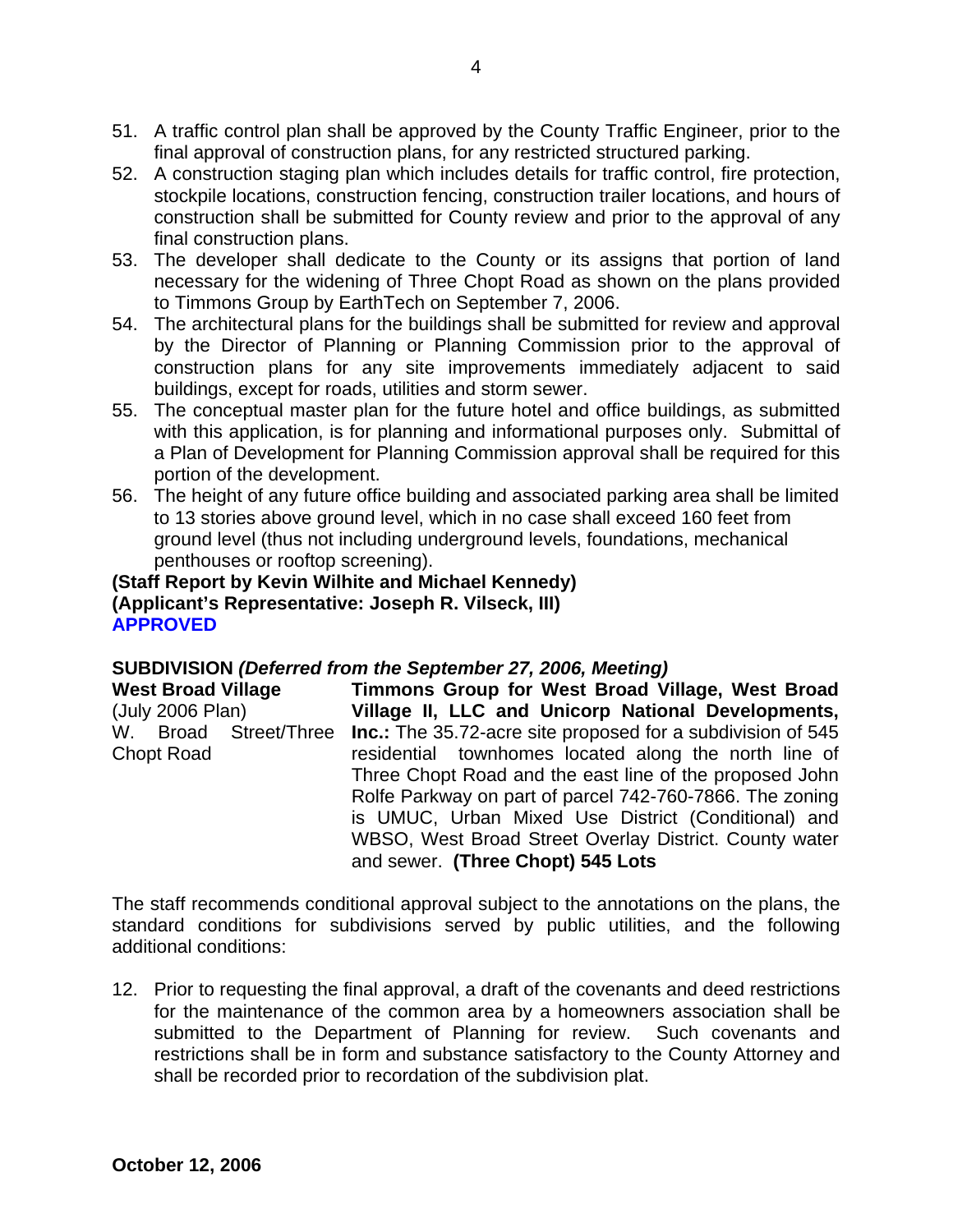- 51. A traffic control plan shall be approved by the County Traffic Engineer, prior to the final approval of construction plans, for any restricted structured parking.
- 52. A construction staging plan which includes details for traffic control, fire protection, stockpile locations, construction fencing, construction trailer locations, and hours of construction shall be submitted for County review and prior to the approval of any final construction plans.
- 53. The developer shall dedicate to the County or its assigns that portion of land necessary for the widening of Three Chopt Road as shown on the plans provided to Timmons Group by EarthTech on September 7, 2006.
- 54. The architectural plans for the buildings shall be submitted for review and approval by the Director of Planning or Planning Commission prior to the approval of construction plans for any site improvements immediately adjacent to said buildings, except for roads, utilities and storm sewer.
- 55. The conceptual master plan for the future hotel and office buildings, as submitted with this application, is for planning and informational purposes only. Submittal of a Plan of Development for Planning Commission approval shall be required for this portion of the development.
- 56. The height of any future office building and associated parking area shall be limited to 13 stories above ground level, which in no case shall exceed 160 feet from ground level (thus not including underground levels, foundations, mechanical penthouses or rooftop screening).

# **(Staff Report by Kevin Wilhite and Michael Kennedy) (Applicant's Representative: Joseph R. Vilseck, III) APPROVED**

# **SUBDIVISION** *(Deferred from the September 27, 2006, Meeting)*

| <b>West Broad Village</b> | Timmons Group for West Broad Village, West Broad                   |
|---------------------------|--------------------------------------------------------------------|
| (July 2006 Plan)          | Village II, LLC and Unicorp National Developments,                 |
| W. Broad Street/Three     | <b>Inc.:</b> The 35.72-acre site proposed for a subdivision of 545 |
| <b>Chopt Road</b>         | residential townhomes located along the north line of              |
|                           | Three Chopt Road and the east line of the proposed John            |
|                           | Rolfe Parkway on part of parcel 742-760-7866. The zoning           |
|                           | is UMUC, Urban Mixed Use District (Conditional) and                |
|                           | WBSO, West Broad Street Overlay District. County water             |
|                           | and sewer. (Three Chopt) 545 Lots                                  |

The staff recommends conditional approval subject to the annotations on the plans, the standard conditions for subdivisions served by public utilities, and the following additional conditions:

12. Prior to requesting the final approval, a draft of the covenants and deed restrictions for the maintenance of the common area by a homeowners association shall be submitted to the Department of Planning for review. Such covenants and restrictions shall be in form and substance satisfactory to the County Attorney and shall be recorded prior to recordation of the subdivision plat.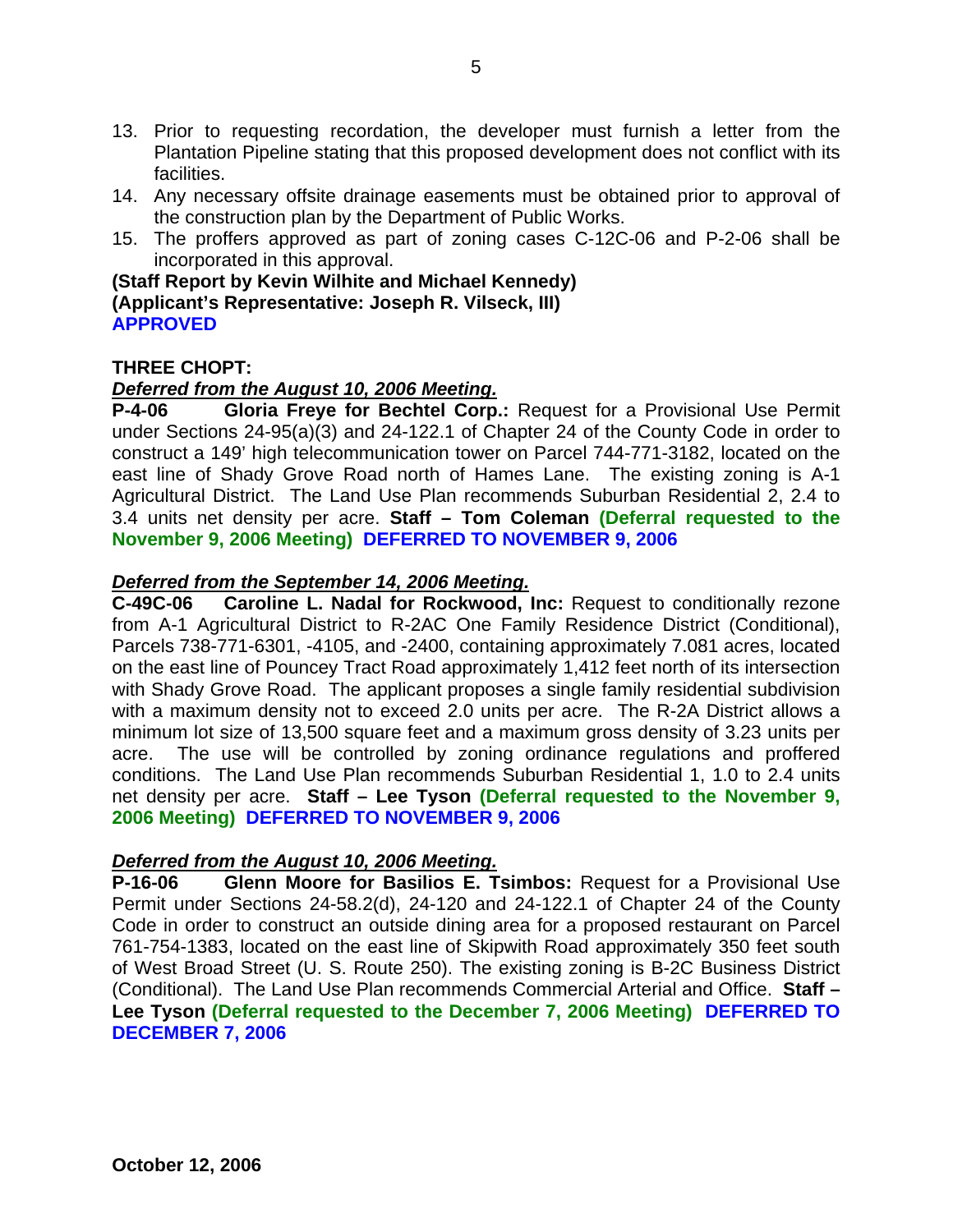- 13. Prior to requesting recordation, the developer must furnish a letter from the Plantation Pipeline stating that this proposed development does not conflict with its facilities.
- 14. Any necessary offsite drainage easements must be obtained prior to approval of the construction plan by the Department of Public Works.
- 15. The proffers approved as part of zoning cases C-12C-06 and P-2-06 shall be incorporated in this approval.

**(Staff Report by Kevin Wilhite and Michael Kennedy) (Applicant's Representative: Joseph R. Vilseck, III) APPROVED** 

# **THREE CHOPT:**

# *Deferred from the August 10, 2006 Meeting.*

**P-4-06 Gloria Freye for Bechtel Corp.:** Request for a Provisional Use Permit under Sections 24-95(a)(3) and 24-122.1 of Chapter 24 of the County Code in order to construct a 149' high telecommunication tower on Parcel 744-771-3182, located on the east line of Shady Grove Road north of Hames Lane. The existing zoning is A-1 Agricultural District. The Land Use Plan recommends Suburban Residential 2, 2.4 to 3.4 units net density per acre. **Staff – Tom Coleman (Deferral requested to the November 9, 2006 Meeting) DEFERRED TO NOVEMBER 9, 2006**

# *Deferred from the September 14, 2006 Meeting.*

**C-49C-06 Caroline L. Nadal for Rockwood, Inc:** Request to conditionally rezone from A-1 Agricultural District to R-2AC One Family Residence District (Conditional), Parcels 738-771-6301, -4105, and -2400, containing approximately 7.081 acres, located on the east line of Pouncey Tract Road approximately 1,412 feet north of its intersection with Shady Grove Road. The applicant proposes a single family residential subdivision with a maximum density not to exceed 2.0 units per acre. The R-2A District allows a minimum lot size of 13,500 square feet and a maximum gross density of 3.23 units per acre. The use will be controlled by zoning ordinance regulations and proffered conditions. The Land Use Plan recommends Suburban Residential 1, 1.0 to 2.4 units net density per acre. **Staff – Lee Tyson (Deferral requested to the November 9, 2006 Meeting) DEFERRED TO NOVEMBER 9, 2006** 

#### *Deferred from the August 10, 2006 Meeting.*

**P-16-06 Glenn Moore for Basilios E. Tsimbos:** Request for a Provisional Use Permit under Sections 24-58.2(d), 24-120 and 24-122.1 of Chapter 24 of the County Code in order to construct an outside dining area for a proposed restaurant on Parcel 761-754-1383, located on the east line of Skipwith Road approximately 350 feet south of West Broad Street (U. S. Route 250). The existing zoning is B-2C Business District (Conditional). The Land Use Plan recommends Commercial Arterial and Office. **Staff – Lee Tyson (Deferral requested to the December 7, 2006 Meeting) DEFERRED TO DECEMBER 7, 2006**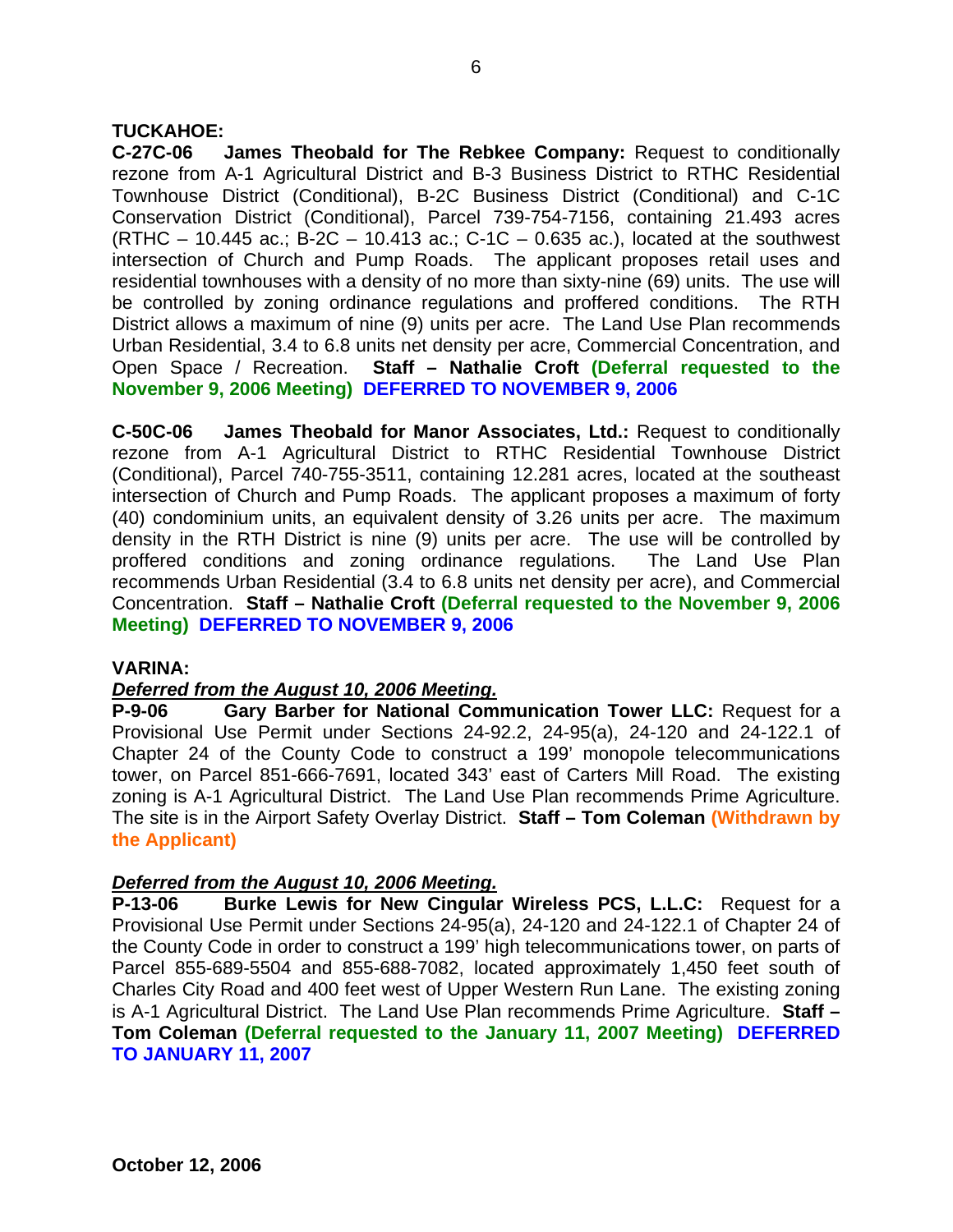# **TUCKAHOE:**

**C-27C-06 James Theobald for The Rebkee Company:** Request to conditionally rezone from A-1 Agricultural District and B-3 Business District to RTHC Residential Townhouse District (Conditional), B-2C Business District (Conditional) and C-1C Conservation District (Conditional), Parcel 739-754-7156, containing 21.493 acres (RTHC – 10.445 ac.; B-2C – 10.413 ac.; C-1C – 0.635 ac.), located at the southwest intersection of Church and Pump Roads. The applicant proposes retail uses and residential townhouses with a density of no more than sixty-nine (69) units. The use will be controlled by zoning ordinance regulations and proffered conditions. The RTH District allows a maximum of nine (9) units per acre. The Land Use Plan recommends Urban Residential, 3.4 to 6.8 units net density per acre, Commercial Concentration, and Open Space / Recreation. **Staff – Nathalie Croft (Deferral requested to the November 9, 2006 Meeting) DEFERRED TO NOVEMBER 9, 2006**

**C-50C-06 James Theobald for Manor Associates, Ltd.:** Request to conditionally rezone from A-1 Agricultural District to RTHC Residential Townhouse District (Conditional), Parcel 740-755-3511, containing 12.281 acres, located at the southeast intersection of Church and Pump Roads. The applicant proposes a maximum of forty (40) condominium units, an equivalent density of 3.26 units per acre. The maximum density in the RTH District is nine (9) units per acre. The use will be controlled by proffered conditions and zoning ordinance regulations. The Land Use Plan recommends Urban Residential (3.4 to 6.8 units net density per acre), and Commercial Concentration. **Staff – Nathalie Croft (Deferral requested to the November 9, 2006 Meeting) DEFERRED TO NOVEMBER 9, 2006**

#### **VARINA:**

#### *Deferred from the August 10, 2006 Meeting.*

**P-9-06 Gary Barber for National Communication Tower LLC:** Request for a Provisional Use Permit under Sections 24-92.2, 24-95(a), 24-120 and 24-122.1 of Chapter 24 of the County Code to construct a 199' monopole telecommunications tower, on Parcel 851-666-7691, located 343' east of Carters Mill Road. The existing zoning is A-1 Agricultural District. The Land Use Plan recommends Prime Agriculture. The site is in the Airport Safety Overlay District. **Staff – Tom Coleman (Withdrawn by the Applicant)**

#### *Deferred from the August 10, 2006 Meeting.*

**P-13-06 Burke Lewis for New Cingular Wireless PCS, L.L.C:** Request for a Provisional Use Permit under Sections 24-95(a), 24-120 and 24-122.1 of Chapter 24 of the County Code in order to construct a 199' high telecommunications tower, on parts of Parcel 855-689-5504 and 855-688-7082, located approximately 1,450 feet south of Charles City Road and 400 feet west of Upper Western Run Lane. The existing zoning is A-1 Agricultural District. The Land Use Plan recommends Prime Agriculture. **Staff – Tom Coleman (Deferral requested to the January 11, 2007 Meeting) DEFERRED TO JANUARY 11, 2007**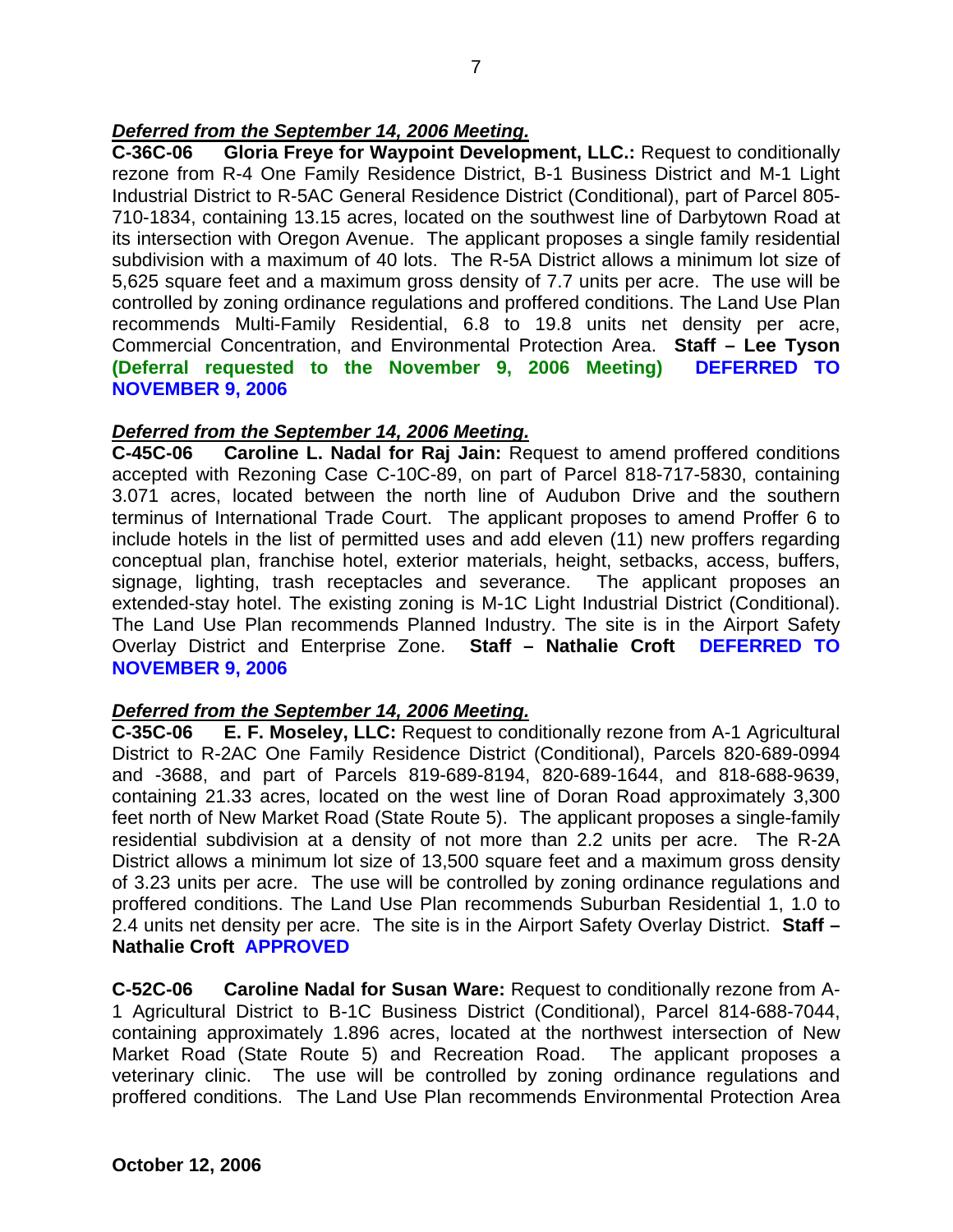# *Deferred from the September 14, 2006 Meeting.*

**C-36C-06 Gloria Freye for Waypoint Development, LLC.:** Request to conditionally rezone from R-4 One Family Residence District, B-1 Business District and M-1 Light Industrial District to R-5AC General Residence District (Conditional), part of Parcel 805- 710-1834, containing 13.15 acres, located on the southwest line of Darbytown Road at its intersection with Oregon Avenue. The applicant proposes a single family residential subdivision with a maximum of 40 lots. The R-5A District allows a minimum lot size of 5,625 square feet and a maximum gross density of 7.7 units per acre. The use will be controlled by zoning ordinance regulations and proffered conditions. The Land Use Plan recommends Multi-Family Residential, 6.8 to 19.8 units net density per acre, Commercial Concentration, and Environmental Protection Area. **Staff – Lee Tyson (Deferral requested to the November 9, 2006 Meeting) DEFERRED TO NOVEMBER 9, 2006**

#### *Deferred from the September 14, 2006 Meeting.*

**C-45C-06 Caroline L. Nadal for Raj Jain:** Request to amend proffered conditions accepted with Rezoning Case C-10C-89, on part of Parcel 818-717-5830, containing 3.071 acres, located between the north line of Audubon Drive and the southern terminus of International Trade Court. The applicant proposes to amend Proffer 6 to include hotels in the list of permitted uses and add eleven (11) new proffers regarding conceptual plan, franchise hotel, exterior materials, height, setbacks, access, buffers, signage, lighting, trash receptacles and severance. The applicant proposes an extended-stay hotel. The existing zoning is M-1C Light Industrial District (Conditional). The Land Use Plan recommends Planned Industry. The site is in the Airport Safety Overlay District and Enterprise Zone. **Staff – Nathalie Croft DEFERRED TO NOVEMBER 9, 2006**

#### *Deferred from the September 14, 2006 Meeting.*

**C-35C-06 E. F. Moseley, LLC:** Request to conditionally rezone from A-1 Agricultural District to R-2AC One Family Residence District (Conditional), Parcels 820-689-0994 and -3688, and part of Parcels 819-689-8194, 820-689-1644, and 818-688-9639, containing 21.33 acres, located on the west line of Doran Road approximately 3,300 feet north of New Market Road (State Route 5). The applicant proposes a single-family residential subdivision at a density of not more than 2.2 units per acre. The R-2A District allows a minimum lot size of 13,500 square feet and a maximum gross density of 3.23 units per acre. The use will be controlled by zoning ordinance regulations and proffered conditions. The Land Use Plan recommends Suburban Residential 1, 1.0 to 2.4 units net density per acre. The site is in the Airport Safety Overlay District. **Staff – Nathalie Croft APPROVED**

**C-52C-06 Caroline Nadal for Susan Ware:** Request to conditionally rezone from A-1 Agricultural District to B-1C Business District (Conditional), Parcel 814-688-7044, containing approximately 1.896 acres, located at the northwest intersection of New Market Road (State Route 5) and Recreation Road. The applicant proposes a veterinary clinic. The use will be controlled by zoning ordinance regulations and proffered conditions. The Land Use Plan recommends Environmental Protection Area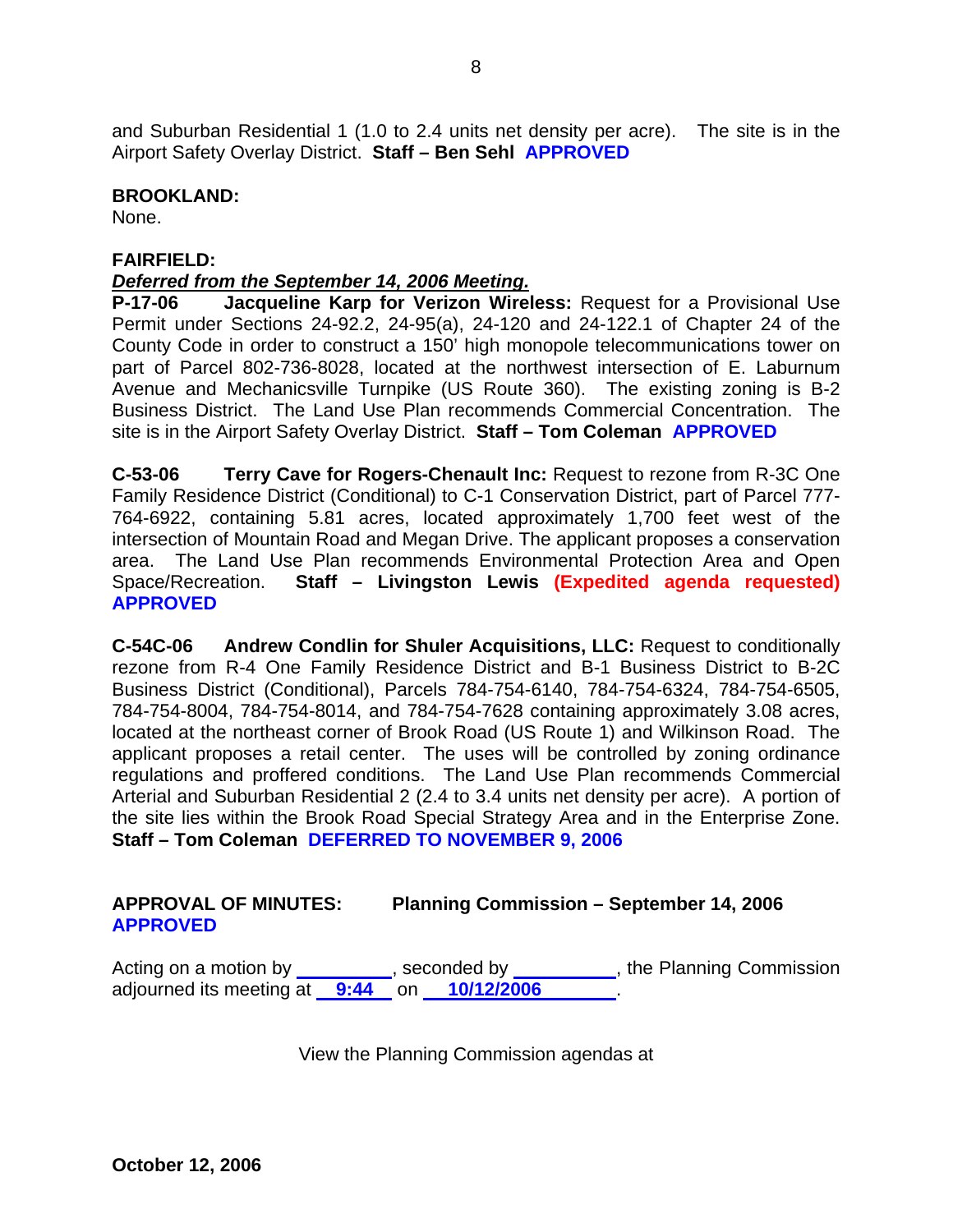and Suburban Residential 1 (1.0 to 2.4 units net density per acre). The site is in the Airport Safety Overlay District. **Staff – Ben Sehl APPROVED**

### **BROOKLAND:**

None.

# **FAIRFIELD:**

# *Deferred from the September 14, 2006 Meeting.*

**P-17-06 Jacqueline Karp for Verizon Wireless:** Request for a Provisional Use Permit under Sections 24-92.2, 24-95(a), 24-120 and 24-122.1 of Chapter 24 of the County Code in order to construct a 150' high monopole telecommunications tower on part of Parcel 802-736-8028, located at the northwest intersection of E. Laburnum Avenue and Mechanicsville Turnpike (US Route 360). The existing zoning is B-2 Business District. The Land Use Plan recommends Commercial Concentration. The site is in the Airport Safety Overlay District. **Staff – Tom Coleman APPROVED**

**C-53-06 Terry Cave for Rogers-Chenault Inc:** Request to rezone from R-3C One Family Residence District (Conditional) to C-1 Conservation District, part of Parcel 777- 764-6922, containing 5.81 acres, located approximately 1,700 feet west of the intersection of Mountain Road and Megan Drive. The applicant proposes a conservation area. The Land Use Plan recommends Environmental Protection Area and Open Space/Recreation. **Staff – Livingston Lewis (Expedited agenda requested) APPROVED**

**C-54C-06 Andrew Condlin for Shuler Acquisitions, LLC:** Request to conditionally rezone from R-4 One Family Residence District and B-1 Business District to B-2C Business District (Conditional), Parcels 784-754-6140, 784-754-6324, 784-754-6505, 784-754-8004, 784-754-8014, and 784-754-7628 containing approximately 3.08 acres, located at the northeast corner of Brook Road (US Route 1) and Wilkinson Road. The applicant proposes a retail center. The uses will be controlled by zoning ordinance regulations and proffered conditions. The Land Use Plan recommends Commercial Arterial and Suburban Residential 2 (2.4 to 3.4 units net density per acre). A portion of the site lies within the Brook Road Special Strategy Area and in the Enterprise Zone. **Staff – Tom Coleman DEFERRED TO NOVEMBER 9, 2006** 

# **APPROVAL OF MINUTES: Planning Commission – September 14, 2006 APPROVED**

Acting on a motion by \_\_\_\_\_\_\_\_\_, seconded by \_\_\_\_\_\_\_\_\_, the Planning Commission adjourned its meeting at **9:44** on **10/12/2006** .

View the Planning Commission agendas at